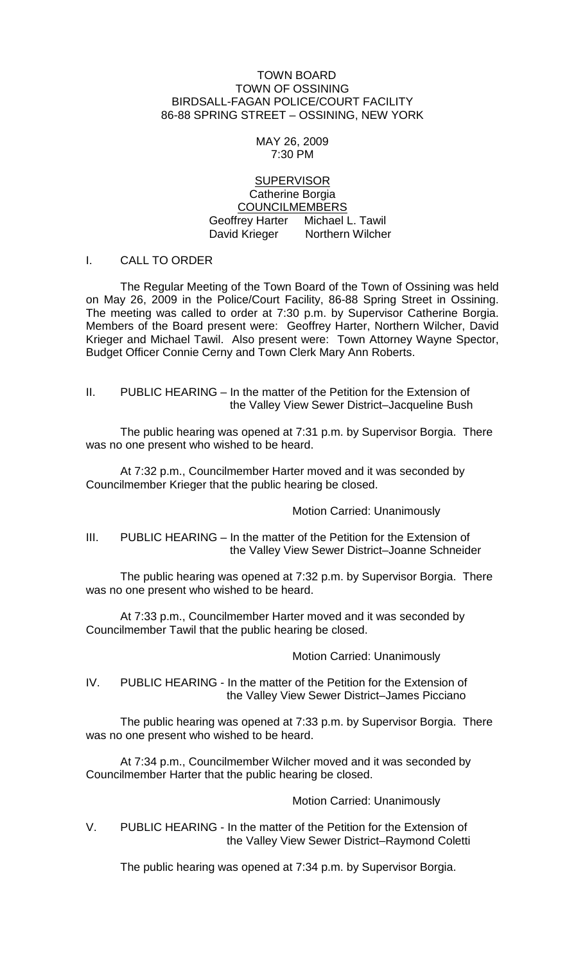#### TOWN BOARD TOWN OF OSSINING BIRDSALL-FAGAN POLICE/COURT FACILITY 86-88 SPRING STREET – OSSINING, NEW YORK

#### MAY 26, 2009 7:30 PM

### **SUPERVISOR** Catherine Borgia COUNCILMEMBERS Geoffrey Harter Michael L. Tawil David Krieger Northern Wilcher

## I. CALL TO ORDER

The Regular Meeting of the Town Board of the Town of Ossining was held on May 26, 2009 in the Police/Court Facility, 86-88 Spring Street in Ossining. The meeting was called to order at 7:30 p.m. by Supervisor Catherine Borgia. Members of the Board present were: Geoffrey Harter, Northern Wilcher, David Krieger and Michael Tawil. Also present were: Town Attorney Wayne Spector, Budget Officer Connie Cerny and Town Clerk Mary Ann Roberts.

## II. PUBLIC HEARING – In the matter of the Petition for the Extension of the Valley View Sewer District–Jacqueline Bush

The public hearing was opened at 7:31 p.m. by Supervisor Borgia. There was no one present who wished to be heard.

At 7:32 p.m., Councilmember Harter moved and it was seconded by Councilmember Krieger that the public hearing be closed.

Motion Carried: Unanimously

#### III. PUBLIC HEARING – In the matter of the Petition for the Extension of the Valley View Sewer District–Joanne Schneider

The public hearing was opened at 7:32 p.m. by Supervisor Borgia. There was no one present who wished to be heard.

At 7:33 p.m., Councilmember Harter moved and it was seconded by Councilmember Tawil that the public hearing be closed.

Motion Carried: Unanimously

IV. PUBLIC HEARING - In the matter of the Petition for the Extension of the Valley View Sewer District–James Picciano

The public hearing was opened at 7:33 p.m. by Supervisor Borgia. There was no one present who wished to be heard.

At 7:34 p.m., Councilmember Wilcher moved and it was seconded by Councilmember Harter that the public hearing be closed.

Motion Carried: Unanimously

V. PUBLIC HEARING - In the matter of the Petition for the Extension of the Valley View Sewer District–Raymond Coletti

The public hearing was opened at 7:34 p.m. by Supervisor Borgia.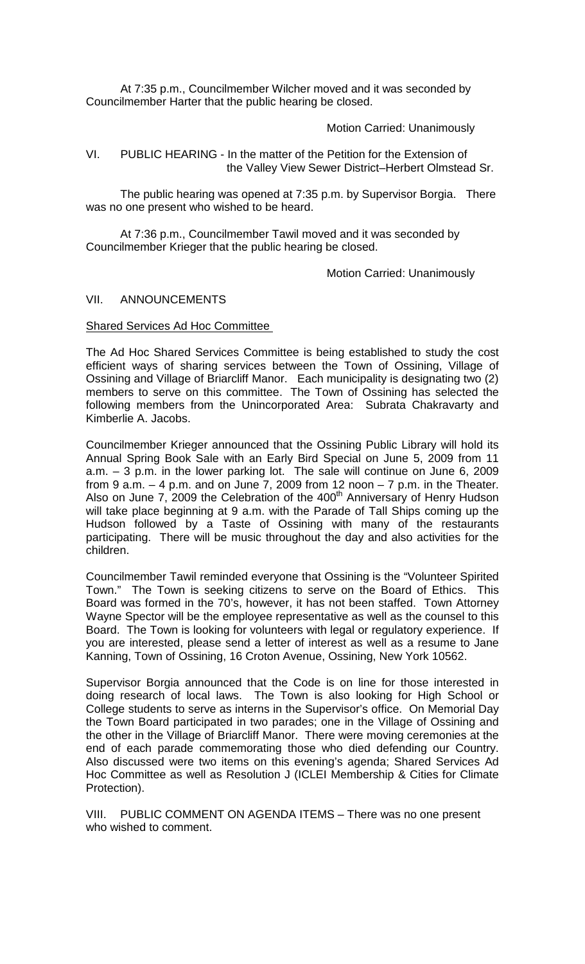At 7:35 p.m., Councilmember Wilcher moved and it was seconded by Councilmember Harter that the public hearing be closed.

Motion Carried: Unanimously

VI. PUBLIC HEARING - In the matter of the Petition for the Extension of the Valley View Sewer District–Herbert Olmstead Sr.

The public hearing was opened at 7:35 p.m. by Supervisor Borgia. There was no one present who wished to be heard.

At 7:36 p.m., Councilmember Tawil moved and it was seconded by Councilmember Krieger that the public hearing be closed.

Motion Carried: Unanimously

## VII. ANNOUNCEMENTS

## Shared Services Ad Hoc Committee

The Ad Hoc Shared Services Committee is being established to study the cost efficient ways of sharing services between the Town of Ossining, Village of Ossining and Village of Briarcliff Manor. Each municipality is designating two (2) members to serve on this committee. The Town of Ossining has selected the following members from the Unincorporated Area: Subrata Chakravarty and Kimberlie A. Jacobs.

Councilmember Krieger announced that the Ossining Public Library will hold its Annual Spring Book Sale with an Early Bird Special on June 5, 2009 from 11 a.m. – 3 p.m. in the lower parking lot. The sale will continue on June 6, 2009 from 9 a.m.  $-4$  p.m. and on June 7, 2009 from 12 noon  $-7$  p.m. in the Theater. Also on June 7, 2009 the Celebration of the 400<sup>th</sup> Anniversary of Henry Hudson will take place beginning at 9 a.m. with the Parade of Tall Ships coming up the Hudson followed by a Taste of Ossining with many of the restaurants participating. There will be music throughout the day and also activities for the children.

Councilmember Tawil reminded everyone that Ossining is the "Volunteer Spirited Town." The Town is seeking citizens to serve on the Board of Ethics. This Board was formed in the 70's, however, it has not been staffed. Town Attorney Wayne Spector will be the employee representative as well as the counsel to this Board. The Town is looking for volunteers with legal or regulatory experience. If you are interested, please send a letter of interest as well as a resume to Jane Kanning, Town of Ossining, 16 Croton Avenue, Ossining, New York 10562.

Supervisor Borgia announced that the Code is on line for those interested in doing research of local laws. The Town is also looking for High School or College students to serve as interns in the Supervisor's office. On Memorial Day the Town Board participated in two parades; one in the Village of Ossining and the other in the Village of Briarcliff Manor. There were moving ceremonies at the end of each parade commemorating those who died defending our Country. Also discussed were two items on this evening's agenda; Shared Services Ad Hoc Committee as well as Resolution J (ICLEI Membership & Cities for Climate Protection).

VIII. PUBLIC COMMENT ON AGENDA ITEMS – There was no one present who wished to comment.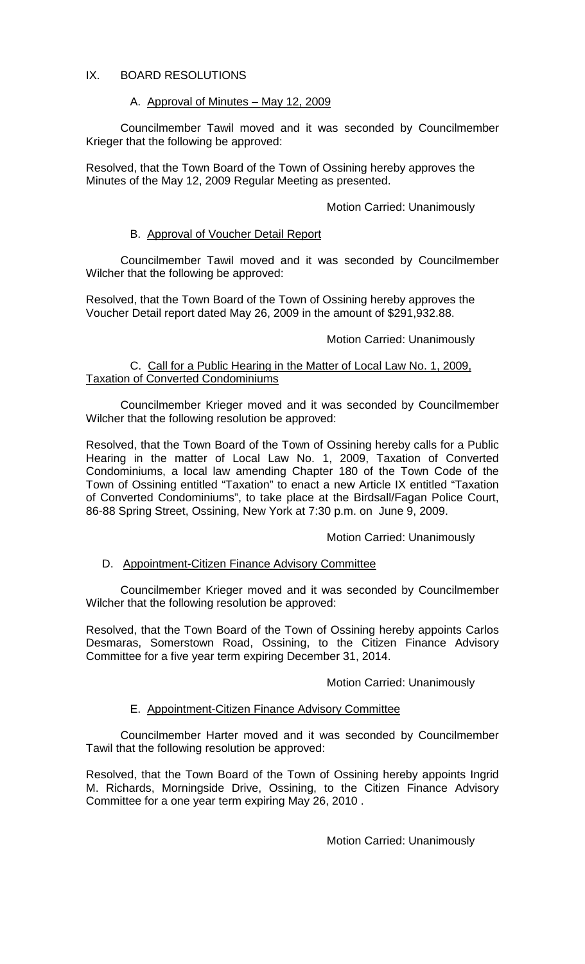# IX. BOARD RESOLUTIONS

## A. Approval of Minutes – May 12, 2009

Councilmember Tawil moved and it was seconded by Councilmember Krieger that the following be approved:

Resolved, that the Town Board of the Town of Ossining hereby approves the Minutes of the May 12, 2009 Regular Meeting as presented.

## Motion Carried: Unanimously

## B. Approval of Voucher Detail Report

Councilmember Tawil moved and it was seconded by Councilmember Wilcher that the following be approved:

Resolved, that the Town Board of the Town of Ossining hereby approves the Voucher Detail report dated May 26, 2009 in the amount of \$291,932.88.

#### Motion Carried: Unanimously

#### C. Call for a Public Hearing in the Matter of Local Law No. 1, 2009, Taxation of Converted Condominiums

Councilmember Krieger moved and it was seconded by Councilmember Wilcher that the following resolution be approved:

Resolved, that the Town Board of the Town of Ossining hereby calls for a Public Hearing in the matter of Local Law No. 1, 2009, Taxation of Converted Condominiums, a local law amending Chapter 180 of the Town Code of the Town of Ossining entitled "Taxation" to enact a new Article IX entitled "Taxation of Converted Condominiums", to take place at the Birdsall/Fagan Police Court, 86-88 Spring Street, Ossining, New York at 7:30 p.m. on June 9, 2009.

#### Motion Carried: Unanimously

#### D. Appointment-Citizen Finance Advisory Committee

Councilmember Krieger moved and it was seconded by Councilmember Wilcher that the following resolution be approved:

Resolved, that the Town Board of the Town of Ossining hereby appoints Carlos Desmaras, Somerstown Road, Ossining, to the Citizen Finance Advisory Committee for a five year term expiring December 31, 2014.

#### Motion Carried: Unanimously

# E. Appointment-Citizen Finance Advisory Committee

Councilmember Harter moved and it was seconded by Councilmember Tawil that the following resolution be approved:

Resolved, that the Town Board of the Town of Ossining hereby appoints Ingrid M. Richards, Morningside Drive, Ossining, to the Citizen Finance Advisory Committee for a one year term expiring May 26, 2010 .

Motion Carried: Unanimously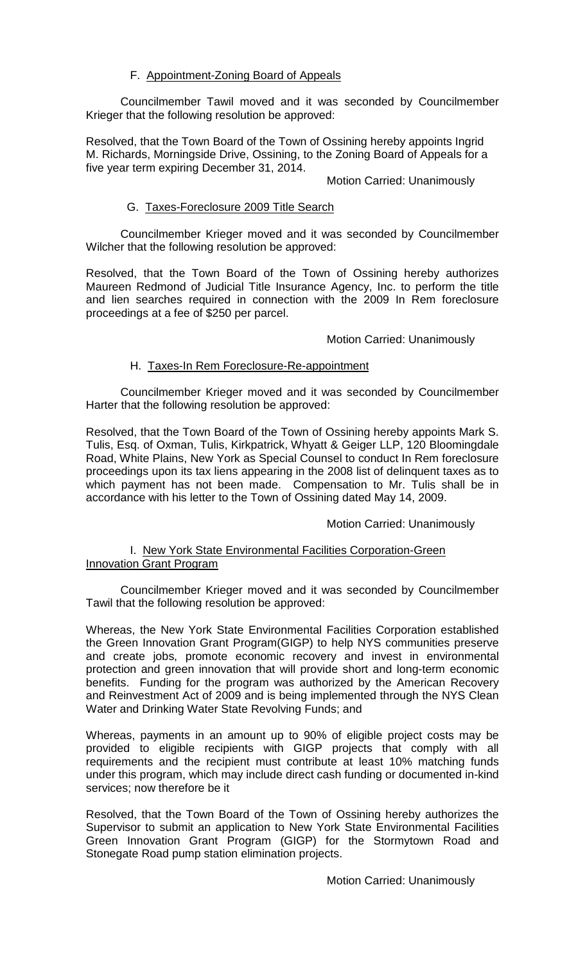# F. Appointment-Zoning Board of Appeals

Councilmember Tawil moved and it was seconded by Councilmember Krieger that the following resolution be approved:

Resolved, that the Town Board of the Town of Ossining hereby appoints Ingrid M. Richards, Morningside Drive, Ossining, to the Zoning Board of Appeals for a five year term expiring December 31, 2014.

## Motion Carried: Unanimously

# G. Taxes-Foreclosure 2009 Title Search

Councilmember Krieger moved and it was seconded by Councilmember Wilcher that the following resolution be approved:

Resolved, that the Town Board of the Town of Ossining hereby authorizes Maureen Redmond of Judicial Title Insurance Agency, Inc. to perform the title and lien searches required in connection with the 2009 In Rem foreclosure proceedings at a fee of \$250 per parcel.

## Motion Carried: Unanimously

## H. Taxes-In Rem Foreclosure-Re-appointment

Councilmember Krieger moved and it was seconded by Councilmember Harter that the following resolution be approved:

Resolved, that the Town Board of the Town of Ossining hereby appoints Mark S. Tulis, Esq. of Oxman, Tulis, Kirkpatrick, Whyatt & Geiger LLP, 120 Bloomingdale Road, White Plains, New York as Special Counsel to conduct In Rem foreclosure proceedings upon its tax liens appearing in the 2008 list of delinquent taxes as to which payment has not been made. Compensation to Mr. Tulis shall be in accordance with his letter to the Town of Ossining dated May 14, 2009.

#### Motion Carried: Unanimously

# I. New York State Environmental Facilities Corporation-Green Innovation Grant Program

Councilmember Krieger moved and it was seconded by Councilmember Tawil that the following resolution be approved:

Whereas, the New York State Environmental Facilities Corporation established the Green Innovation Grant Program(GIGP) to help NYS communities preserve and create jobs, promote economic recovery and invest in environmental protection and green innovation that will provide short and long-term economic benefits. Funding for the program was authorized by the American Recovery and Reinvestment Act of 2009 and is being implemented through the NYS Clean Water and Drinking Water State Revolving Funds; and

Whereas, payments in an amount up to 90% of eligible project costs may be provided to eligible recipients with GIGP projects that comply with all requirements and the recipient must contribute at least 10% matching funds under this program, which may include direct cash funding or documented in-kind services; now therefore be it

Resolved, that the Town Board of the Town of Ossining hereby authorizes the Supervisor to submit an application to New York State Environmental Facilities Green Innovation Grant Program (GIGP) for the Stormytown Road and Stonegate Road pump station elimination projects.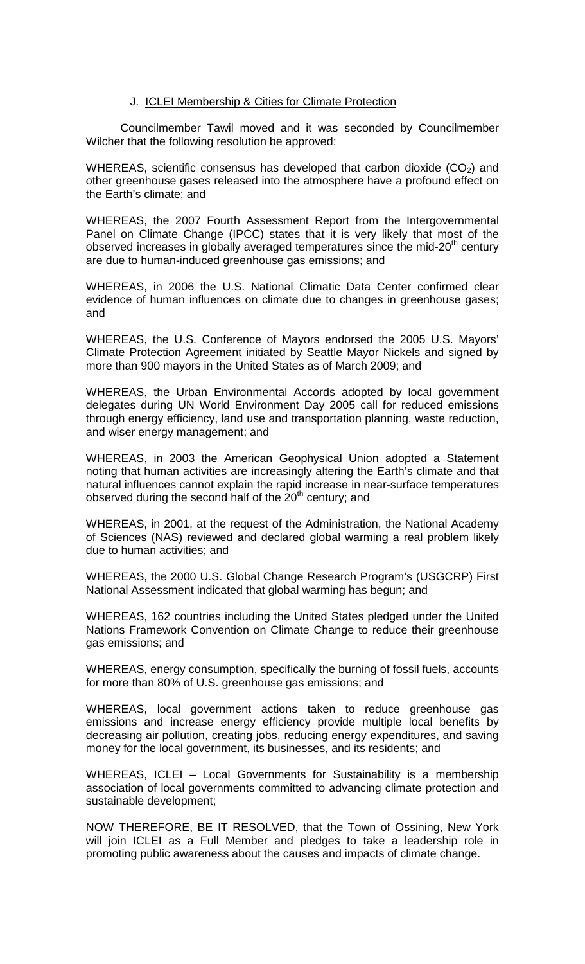#### J. ICLEI Membership & Cities for Climate Protection

Councilmember Tawil moved and it was seconded by Councilmember Wilcher that the following resolution be approved:

WHEREAS, scientific consensus has developed that carbon dioxide  $(CO<sub>2</sub>)$  and other greenhouse gases released into the atmosphere have a profound effect on the Earth's climate; and

WHEREAS, the 2007 Fourth Assessment Report from the Intergovernmental Panel on Climate Change (IPCC) states that it is very likely that most of the observed increases in globally averaged temperatures since the mid-20<sup>th</sup> century are due to human-induced greenhouse gas emissions; and

WHEREAS, in 2006 the U.S. National Climatic Data Center confirmed clear evidence of human influences on climate due to changes in greenhouse gases; and

WHEREAS, the U.S. Conference of Mayors endorsed the 2005 U.S. Mayors' Climate Protection Agreement initiated by Seattle Mayor Nickels and signed by more than 900 mayors in the United States as of March 2009; and

WHEREAS, the Urban Environmental Accords adopted by local government delegates during UN World Environment Day 2005 call for reduced emissions through energy efficiency, land use and transportation planning, waste reduction, and wiser energy management; and

WHEREAS, in 2003 the American Geophysical Union adopted a Statement noting that human activities are increasingly altering the Earth's climate and that natural influences cannot explain the rapid increase in near-surface temperatures observed during the second half of the  $20<sup>th</sup>$  century; and

WHEREAS, in 2001, at the request of the Administration, the National Academy of Sciences (NAS) reviewed and declared global warming a real problem likely due to human activities; and

WHEREAS, the 2000 U.S. Global Change Research Program's (USGCRP) First National Assessment indicated that global warming has begun; and

WHEREAS, 162 countries including the United States pledged under the United Nations Framework Convention on Climate Change to reduce their greenhouse gas emissions; and

WHEREAS, energy consumption, specifically the burning of fossil fuels, accounts for more than 80% of U.S. greenhouse gas emissions; and

WHEREAS, local government actions taken to reduce greenhouse gas emissions and increase energy efficiency provide multiple local benefits by decreasing air pollution, creating jobs, reducing energy expenditures, and saving money for the local government, its businesses, and its residents; and

WHEREAS, ICLEI – Local Governments for Sustainability is a membership association of local governments committed to advancing climate protection and sustainable development;

NOW THEREFORE, BE IT RESOLVED, that the Town of Ossining, New York will join ICLEI as a Full Member and pledges to take a leadership role in promoting public awareness about the causes and impacts of climate change.